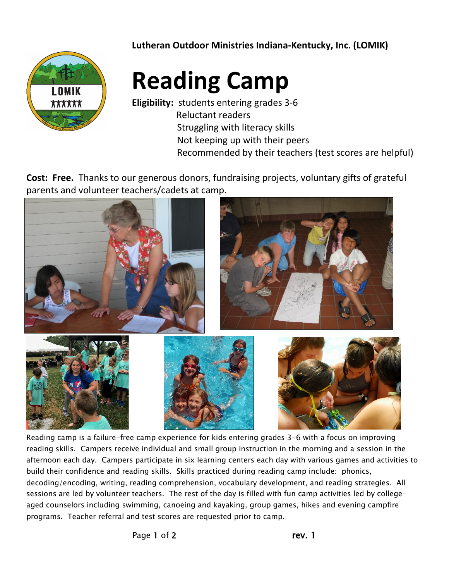**Lutheran Outdoor Ministries Indiana-Kentucky, Inc. (LOMIK)**



## **Reading Camp**

**Eligibility:** students entering grades 3-6 Reluctant readers Struggling with literacy skills Not keeping up with their peers Recommended by their teachers (test scores are helpful)

**Cost: Free.** Thanks to our generous donors, fundraising projects, voluntary gifts of grateful parents and volunteer teachers/cadets at camp.



Reading camp is a failure-free camp experience for kids entering grades 3-6 with a focus on improving reading skills. Campers receive individual and small group instruction in the morning and a session in the afternoon each day. Campers participate in six learning centers each day with various games and activities to build their confidence and reading skills. Skills practiced during reading camp include: phonics, decoding/encoding, writing, reading comprehension, vocabulary development, and reading strategies. All sessions are led by volunteer teachers. The rest of the day is filled with fun camp activities led by collegeaged counselors including swimming, canoeing and kayaking, group games, hikes and evening campfire programs. Teacher referral and test scores are requested prior to camp.